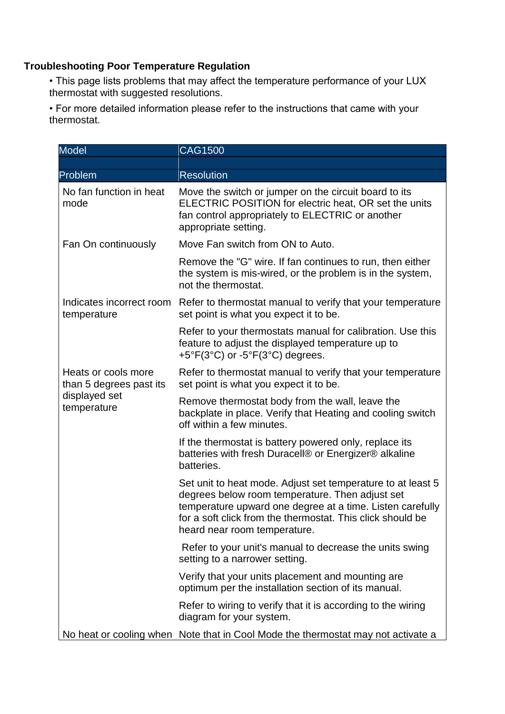## **Troubleshooting Poor Temperature Regulation**

• This page lists problems that may affect the temperature performance of your LUX thermostat with suggested resolutions.

• For more detailed information please refer to the instructions that came with your thermostat.

| <b>Model</b>                                                                   | <b>CAG1500</b>                                                                                                                                                                                                                                                            |
|--------------------------------------------------------------------------------|---------------------------------------------------------------------------------------------------------------------------------------------------------------------------------------------------------------------------------------------------------------------------|
|                                                                                |                                                                                                                                                                                                                                                                           |
| Problem                                                                        | <b>Resolution</b>                                                                                                                                                                                                                                                         |
| No fan function in heat<br>mode                                                | Move the switch or jumper on the circuit board to its<br>ELECTRIC POSITION for electric heat, OR set the units<br>fan control appropriately to ELECTRIC or another<br>appropriate setting.                                                                                |
| Fan On continuously                                                            | Move Fan switch from ON to Auto.                                                                                                                                                                                                                                          |
|                                                                                | Remove the "G" wire. If fan continues to run, then either<br>the system is mis-wired, or the problem is in the system,<br>not the thermostat.                                                                                                                             |
| Indicates incorrect room<br>temperature                                        | Refer to thermostat manual to verify that your temperature<br>set point is what you expect it to be.                                                                                                                                                                      |
|                                                                                | Refer to your thermostats manual for calibration. Use this<br>feature to adjust the displayed temperature up to<br>$+5^{\circ}F(3^{\circ}C)$ or $-5^{\circ}F(3^{\circ}C)$ degrees.                                                                                        |
| Heats or cools more<br>than 5 degrees past its<br>displayed set<br>temperature | Refer to thermostat manual to verify that your temperature<br>set point is what you expect it to be.                                                                                                                                                                      |
|                                                                                | Remove thermostat body from the wall, leave the<br>backplate in place. Verify that Heating and cooling switch<br>off within a few minutes.                                                                                                                                |
|                                                                                | If the thermostat is battery powered only, replace its<br>batteries with fresh Duracell® or Energizer® alkaline<br>batteries.                                                                                                                                             |
|                                                                                | Set unit to heat mode. Adjust set temperature to at least 5<br>degrees below room temperature. Then adjust set<br>temperature upward one degree at a time. Listen carefully<br>for a soft click from the thermostat. This click should be<br>heard near room temperature. |
|                                                                                | Refer to your unit's manual to decrease the units swing<br>setting to a narrower setting.                                                                                                                                                                                 |
|                                                                                | Verify that your units placement and mounting are<br>optimum per the installation section of its manual.                                                                                                                                                                  |
|                                                                                | Refer to wiring to verify that it is according to the wiring<br>diagram for your system.                                                                                                                                                                                  |
|                                                                                | No heat or cooling when Note that in Cool Mode the thermostat may not activate a                                                                                                                                                                                          |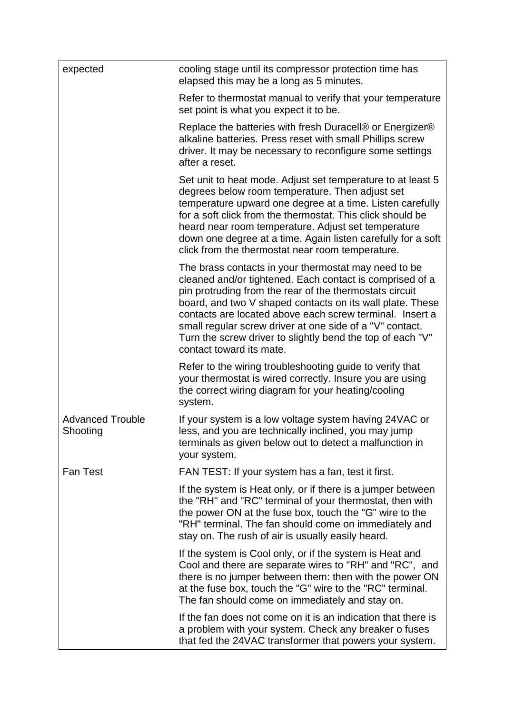| expected                            | cooling stage until its compressor protection time has<br>elapsed this may be a long as 5 minutes.                                                                                                                                                                                                                                                                                                                                                         |
|-------------------------------------|------------------------------------------------------------------------------------------------------------------------------------------------------------------------------------------------------------------------------------------------------------------------------------------------------------------------------------------------------------------------------------------------------------------------------------------------------------|
|                                     | Refer to thermostat manual to verify that your temperature<br>set point is what you expect it to be.                                                                                                                                                                                                                                                                                                                                                       |
|                                     | Replace the batteries with fresh Duracell® or Energizer®<br>alkaline batteries. Press reset with small Phillips screw<br>driver. It may be necessary to reconfigure some settings<br>after a reset.                                                                                                                                                                                                                                                        |
|                                     | Set unit to heat mode. Adjust set temperature to at least 5<br>degrees below room temperature. Then adjust set<br>temperature upward one degree at a time. Listen carefully<br>for a soft click from the thermostat. This click should be<br>heard near room temperature. Adjust set temperature<br>down one degree at a time. Again listen carefully for a soft<br>click from the thermostat near room temperature.                                       |
|                                     | The brass contacts in your thermostat may need to be<br>cleaned and/or tightened. Each contact is comprised of a<br>pin protruding from the rear of the thermostats circuit<br>board, and two V shaped contacts on its wall plate. These<br>contacts are located above each screw terminal. Insert a<br>small regular screw driver at one side of a "V" contact.<br>Turn the screw driver to slightly bend the top of each "V"<br>contact toward its mate. |
|                                     | Refer to the wiring troubleshooting guide to verify that<br>your thermostat is wired correctly. Insure you are using<br>the correct wiring diagram for your heating/cooling<br>system.                                                                                                                                                                                                                                                                     |
| <b>Advanced Trouble</b><br>Shooting | If your system is a low voltage system having 24VAC or<br>less, and you are technically inclined, you may jump<br>terminals as given below out to detect a malfunction in<br>your system.                                                                                                                                                                                                                                                                  |
| <b>Fan Test</b>                     | FAN TEST: If your system has a fan, test it first.                                                                                                                                                                                                                                                                                                                                                                                                         |
|                                     | If the system is Heat only, or if there is a jumper between<br>the "RH" and "RC" terminal of your thermostat, then with<br>the power ON at the fuse box, touch the "G" wire to the<br>"RH" terminal. The fan should come on immediately and<br>stay on. The rush of air is usually easily heard.                                                                                                                                                           |
|                                     | If the system is Cool only, or if the system is Heat and<br>Cool and there are separate wires to "RH" and "RC", and<br>there is no jumper between them: then with the power ON<br>at the fuse box, touch the "G" wire to the "RC" terminal.<br>The fan should come on immediately and stay on.                                                                                                                                                             |
|                                     | If the fan does not come on it is an indication that there is<br>a problem with your system. Check any breaker o fuses<br>that fed the 24VAC transformer that powers your system.                                                                                                                                                                                                                                                                          |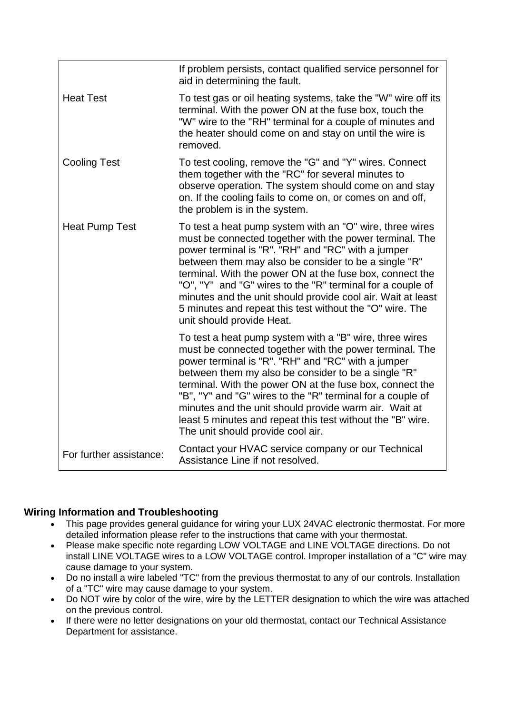|                         | If problem persists, contact qualified service personnel for<br>aid in determining the fault.                                                                                                                                                                                                                                                                                                                                                                                                                         |
|-------------------------|-----------------------------------------------------------------------------------------------------------------------------------------------------------------------------------------------------------------------------------------------------------------------------------------------------------------------------------------------------------------------------------------------------------------------------------------------------------------------------------------------------------------------|
| <b>Heat Test</b>        | To test gas or oil heating systems, take the "W" wire off its<br>terminal. With the power ON at the fuse box, touch the<br>"W" wire to the "RH" terminal for a couple of minutes and<br>the heater should come on and stay on until the wire is<br>removed.                                                                                                                                                                                                                                                           |
| <b>Cooling Test</b>     | To test cooling, remove the "G" and "Y" wires. Connect<br>them together with the "RC" for several minutes to<br>observe operation. The system should come on and stay<br>on. If the cooling fails to come on, or comes on and off,<br>the problem is in the system.                                                                                                                                                                                                                                                   |
| <b>Heat Pump Test</b>   | To test a heat pump system with an "O" wire, three wires<br>must be connected together with the power terminal. The<br>power terminal is "R". "RH" and "RC" with a jumper<br>between them may also be consider to be a single "R"<br>terminal. With the power ON at the fuse box, connect the<br>"O", "Y" and "G" wires to the "R" terminal for a couple of<br>minutes and the unit should provide cool air. Wait at least<br>5 minutes and repeat this test without the "O" wire. The<br>unit should provide Heat.   |
|                         | To test a heat pump system with a "B" wire, three wires<br>must be connected together with the power terminal. The<br>power terminal is "R". "RH" and "RC" with a jumper<br>between them my also be consider to be a single "R"<br>terminal. With the power ON at the fuse box, connect the<br>"B", "Y" and "G" wires to the "R" terminal for a couple of<br>minutes and the unit should provide warm air. Wait at<br>least 5 minutes and repeat this test without the "B" wire.<br>The unit should provide cool air. |
| For further assistance: | Contact your HVAC service company or our Technical<br>Assistance Line if not resolved.                                                                                                                                                                                                                                                                                                                                                                                                                                |

## **Wiring Information and Troubleshooting**

- This page provides general guidance for wiring your LUX 24VAC electronic thermostat. For more detailed information please refer to the instructions that came with your thermostat.
- Please make specific note regarding LOW VOLTAGE and LINE VOLTAGE directions. Do not install LINE VOLTAGE wires to a LOW VOLTAGE control. Improper installation of a "C" wire may cause damage to your system.
- Do no install a wire labeled "TC" from the previous thermostat to any of our controls. Installation of a "TC" wire may cause damage to your system.
- Do NOT wire by color of the wire, wire by the LETTER designation to which the wire was attached on the previous control.
- If there were no letter designations on your old thermostat, contact our Technical Assistance Department for assistance.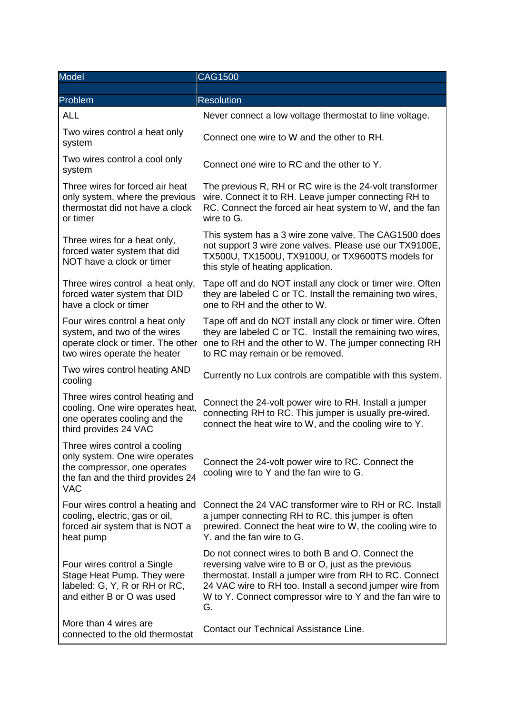| Model                                                                                                                                              | <b>CAG1500</b>                                                                                                                                                                                                                                                                                      |
|----------------------------------------------------------------------------------------------------------------------------------------------------|-----------------------------------------------------------------------------------------------------------------------------------------------------------------------------------------------------------------------------------------------------------------------------------------------------|
|                                                                                                                                                    |                                                                                                                                                                                                                                                                                                     |
| Problem                                                                                                                                            | <b>Resolution</b>                                                                                                                                                                                                                                                                                   |
| <b>ALL</b>                                                                                                                                         | Never connect a low voltage thermostat to line voltage.                                                                                                                                                                                                                                             |
| Two wires control a heat only<br>system                                                                                                            | Connect one wire to W and the other to RH.                                                                                                                                                                                                                                                          |
| Two wires control a cool only<br>system                                                                                                            | Connect one wire to RC and the other to Y.                                                                                                                                                                                                                                                          |
| Three wires for forced air heat<br>only system, where the previous<br>thermostat did not have a clock<br>or timer                                  | The previous R, RH or RC wire is the 24-volt transformer<br>wire. Connect it to RH. Leave jumper connecting RH to<br>RC. Connect the forced air heat system to W, and the fan<br>wire to G.                                                                                                         |
| Three wires for a heat only,<br>forced water system that did<br>NOT have a clock or timer                                                          | This system has a 3 wire zone valve. The CAG1500 does<br>not support 3 wire zone valves. Please use our TX9100E,<br>TX500U, TX1500U, TX9100U, or TX9600TS models for<br>this style of heating application.                                                                                          |
| Three wires control a heat only,<br>forced water system that DID<br>have a clock or timer                                                          | Tape off and do NOT install any clock or timer wire. Often<br>they are labeled C or TC. Install the remaining two wires,<br>one to RH and the other to W.                                                                                                                                           |
| Four wires control a heat only<br>system, and two of the wires<br>operate clock or timer. The other<br>two wires operate the heater                | Tape off and do NOT install any clock or timer wire. Often<br>they are labeled C or TC. Install the remaining two wires,<br>one to RH and the other to W. The jumper connecting RH<br>to RC may remain or be removed.                                                                               |
| Two wires control heating AND<br>cooling                                                                                                           | Currently no Lux controls are compatible with this system.                                                                                                                                                                                                                                          |
| Three wires control heating and<br>cooling. One wire operates heat,<br>one operates cooling and the<br>third provides 24 VAC                       | Connect the 24-volt power wire to RH. Install a jumper<br>connecting RH to RC. This jumper is usually pre-wired.<br>connect the heat wire to W, and the cooling wire to Y.                                                                                                                          |
| Three wires control a cooling<br>only system. One wire operates<br>the compressor, one operates<br>the fan and the third provides 24<br><b>VAC</b> | Connect the 24-volt power wire to RC. Connect the<br>cooling wire to Y and the fan wire to G.                                                                                                                                                                                                       |
| Four wires control a heating and<br>cooling, electric, gas or oil,<br>forced air system that is NOT a<br>heat pump                                 | Connect the 24 VAC transformer wire to RH or RC. Install<br>a jumper connecting RH to RC, this jumper is often<br>prewired. Connect the heat wire to W, the cooling wire to<br>Y. and the fan wire to G.                                                                                            |
| Four wires control a Single<br>Stage Heat Pump. They were<br>labeled: G, Y, R or RH or RC,<br>and either B or O was used                           | Do not connect wires to both B and O. Connect the<br>reversing valve wire to B or O, just as the previous<br>thermostat. Install a jumper wire from RH to RC. Connect<br>24 VAC wire to RH too. Install a second jumper wire from<br>W to Y. Connect compressor wire to Y and the fan wire to<br>G. |
| More than 4 wires are<br>connected to the old thermostat                                                                                           | Contact our Technical Assistance Line.                                                                                                                                                                                                                                                              |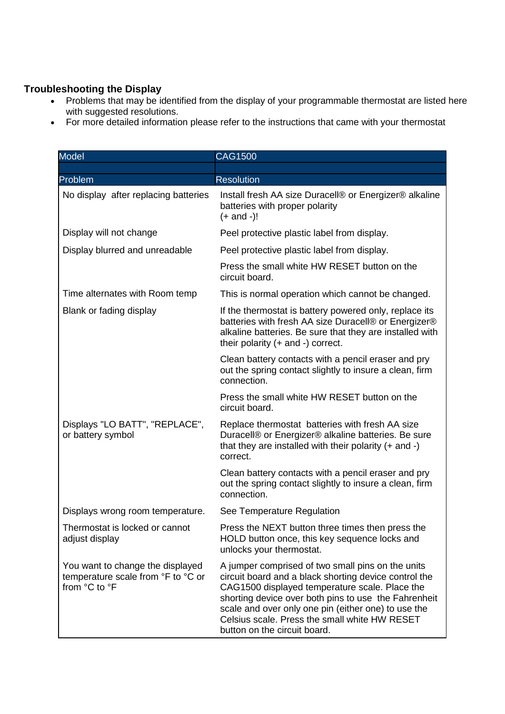## **Troubleshooting the Display**

- Problems that may be identified from the display of your programmable thermostat are listed here with suggested resolutions.
- For more detailed information please refer to the instructions that came with your thermostat

| <b>Model</b>                                                                            | <b>CAG1500</b>                                                                                                                                                                                                                                                                                                                                               |
|-----------------------------------------------------------------------------------------|--------------------------------------------------------------------------------------------------------------------------------------------------------------------------------------------------------------------------------------------------------------------------------------------------------------------------------------------------------------|
|                                                                                         |                                                                                                                                                                                                                                                                                                                                                              |
| Problem                                                                                 | <b>Resolution</b>                                                                                                                                                                                                                                                                                                                                            |
| No display after replacing batteries                                                    | Install fresh AA size Duracell® or Energizer® alkaline<br>batteries with proper polarity<br>$(+$ and $-)!$                                                                                                                                                                                                                                                   |
| Display will not change                                                                 | Peel protective plastic label from display.                                                                                                                                                                                                                                                                                                                  |
| Display blurred and unreadable                                                          | Peel protective plastic label from display.                                                                                                                                                                                                                                                                                                                  |
|                                                                                         | Press the small white HW RESET button on the<br>circuit board.                                                                                                                                                                                                                                                                                               |
| Time alternates with Room temp                                                          | This is normal operation which cannot be changed.                                                                                                                                                                                                                                                                                                            |
| Blank or fading display                                                                 | If the thermostat is battery powered only, replace its<br>batteries with fresh AA size Duracell® or Energizer®<br>alkaline batteries. Be sure that they are installed with<br>their polarity (+ and -) correct.                                                                                                                                              |
|                                                                                         | Clean battery contacts with a pencil eraser and pry<br>out the spring contact slightly to insure a clean, firm<br>connection.                                                                                                                                                                                                                                |
|                                                                                         | Press the small white HW RESET button on the<br>circuit board.                                                                                                                                                                                                                                                                                               |
| Displays "LO BATT", "REPLACE",<br>or battery symbol                                     | Replace thermostat batteries with fresh AA size<br>Duracell® or Energizer® alkaline batteries. Be sure<br>that they are installed with their polarity $(+)$ and $-)$<br>correct.                                                                                                                                                                             |
|                                                                                         | Clean battery contacts with a pencil eraser and pry<br>out the spring contact slightly to insure a clean, firm<br>connection.                                                                                                                                                                                                                                |
| Displays wrong room temperature.                                                        | See Temperature Regulation                                                                                                                                                                                                                                                                                                                                   |
| Thermostat is locked or cannot<br>adjust display                                        | Press the NEXT button three times then press the<br>HOLD button once, this key sequence locks and<br>unlocks your thermostat.                                                                                                                                                                                                                                |
| You want to change the displayed<br>temperature scale from °F to °C or<br>from °C to °F | A jumper comprised of two small pins on the units<br>circuit board and a black shorting device control the<br>CAG1500 displayed temperature scale. Place the<br>shorting device over both pins to use the Fahrenheit<br>scale and over only one pin (either one) to use the<br>Celsius scale. Press the small white HW RESET<br>button on the circuit board. |